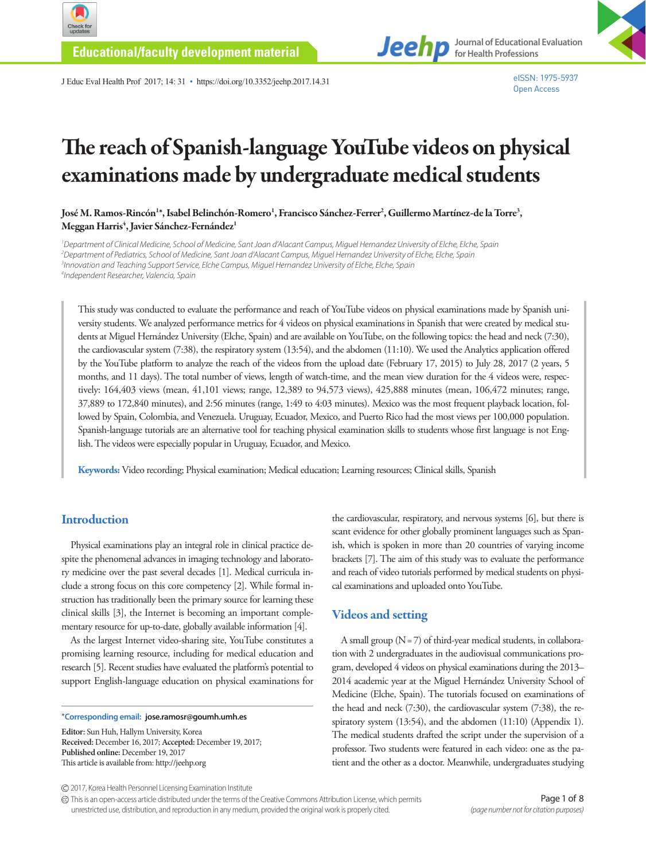

**Educational/faculty development material**

J Educ Eval Health Prof 2017; 14: 31 • https://doi.org/10.3352/jeehp.2017.14.31



eISSN: 1975-5937 Open Access

**Journal of Educational Evaluation** 

**for Health Professions**

# The reach of Spanish-language YouTube videos on physical examinations made by undergraduate medical students

José M. Ramos-Rincón'\*, Isabel Belinchón-Romero', Francisco Sánchez-Ferrer<sup>2</sup>, Guillermo Martínez-de la Torre<sup>3</sup>, Meggan Harris<sup>4</sup>, Javier Sánchez-Fernández<sup>1</sup>

 *Department of Clinical Medicine, School of Medicine, Sant Joan d'Alacant Campus, Miguel Hernandez University of Elche, Elche, Spain Department of Pediatrics, School of Medicine, Sant Joan d'Alacant Campus, Miguel Hernandez University of Elche, Elche, Spain Innovation and Teaching Support Service, Elche Campus, Miguel Hernandez University of Elche, Elche, Spain Independent Researcher, Valencia, Spain*

This study was conducted to evaluate the performance and reach of YouTube videos on physical examinations made by Spanish university students. We analyzed performance metrics for 4 videos on physical examinations in Spanish that were created by medical students at Miguel Hernández University (Elche, Spain) and are available on YouTube, on the following topics: the head and neck (7:30), the cardiovascular system (7:38), the respiratory system (13:54), and the abdomen (11:10). We used the Analytics application offered by the YouTube platform to analyze the reach of the videos from the upload date (February 17, 2015) to July 28, 2017 (2 years, 5 months, and 11 days). The total number of views, length of watch-time, and the mean view duration for the 4 videos were, respectively: 164,403 views (mean, 41,101 views; range, 12,389 to 94,573 views), 425,888 minutes (mean, 106,472 minutes; range, 37,889 to 172,840 minutes), and 2:56 minutes (range, 1:49 to 4:03 minutes). Mexico was the most frequent playback location, followed by Spain, Colombia, and Venezuela. Uruguay, Ecuador, Mexico, and Puerto Rico had the most views per 100,000 population. Spanish-language tutorials are an alternative tool for teaching physical examination skills to students whose first language is not English. The videos were especially popular in Uruguay, Ecuador, and Mexico.

**Keywords:** Video recording; Physical examination; Medical education; Learning resources; Clinical skills, Spanish

# **Introduction**

Physical examinations play an integral role in clinical practice despite the phenomenal advances in imaging technology and laboratory medicine over the past several decades [1]. Medical curricula include a strong focus on this core competency [2]. While formal instruction has traditionally been the primary source for learning these clinical skills [3], the Internet is becoming an important complementary resource for up-to-date, globally available information [4].

As the largest Internet video-sharing site, YouTube constitutes a promising learning resource, including for medical education and research [5]. Recent studies have evaluated the platform's potential to support English-language education on physical examinations for

\***Corresponding email: jose.ramosr@goumh.umh.es**

**Editor:** Sun Huh, Hallym University, Korea **Received:** December 16, 2017; **Accepted:** December 19, 2017; **Published online:** December 19, 2017 This article is available from: http://jeehp.org

the cardiovascular, respiratory, and nervous systems [6], but there is scant evidence for other globally prominent languages such as Spanish, which is spoken in more than 20 countries of varying income brackets [7]. The aim of this study was to evaluate the performance and reach of video tutorials performed by medical students on physical examinations and uploaded onto YouTube.

### Videos and setting

A small group  $(N = 7)$  of third-year medical students, in collaboration with 2 undergraduates in the audiovisual communications program, developed 4 videos on physical examinations during the 2013– 2014 academic year at the Miguel Hernández University School of Medicine (Elche, Spain). The tutorials focused on examinations of the head and neck (7:30), the cardiovascular system (7:38), the respiratory system (13:54), and the abdomen (11:10) (Appendix 1). The medical students drafted the script under the supervision of a professor. Two students were featured in each video: one as the patient and the other as a doctor. Meanwhile, undergraduates studying

This is an open-access article distributed under the terms of the Creative Commons Attribution License, which permits unrestricted use, distribution, and reproduction in any medium, provided the original work is properly cited.

<sup>2017,</sup> Korea Health Personnel Licensing Examination Institute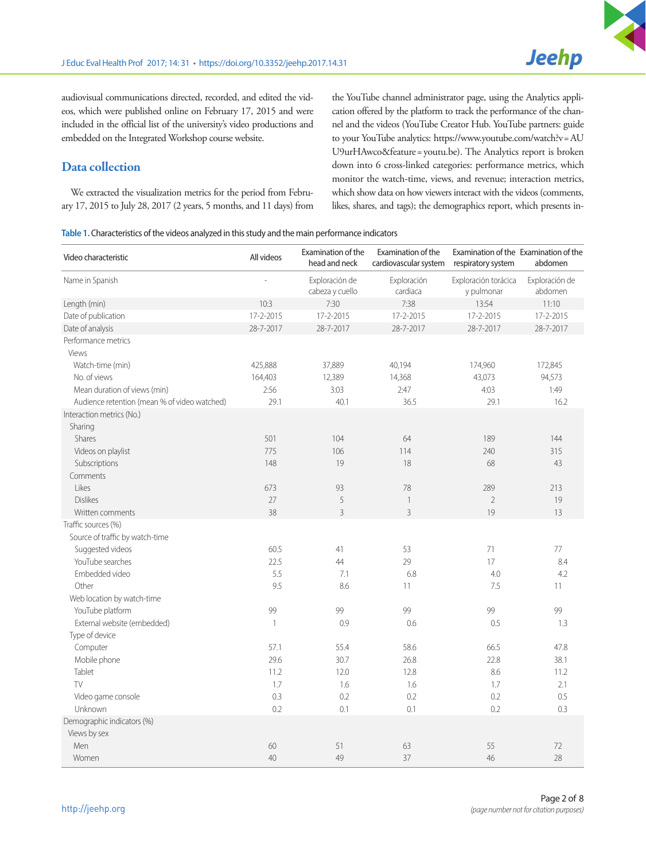audiovisual communications directed, recorded, and edited the videos, which were published online on February 17, 2015 and were included in the official list of the university's video productions and embedded on the Integrated Workshop course website.

# Data collection

We extracted the visualization metrics for the period from February 17, 2015 to July 28, 2017 (2 years, 5 months, and 11 days) from the YouTube channel administrator page, using the Analytics application offered by the platform to track the performance of the channel and the videos (YouTube Creator Hub. YouTube partners: guide to your YouTube analytics: https://www.youtube.com/watch?v= AU U9urHAwco&feature= youtu.be). The Analytics report is broken down into 6 cross-linked categories: performance metrics, which monitor the watch-time, views, and revenue; interaction metrics, which show data on how viewers interact with the videos (comments, likes, shares, and tags); the demographics report, which presents in-

| Table 1. Characteristics of the videos analyzed in this study and the main performance indicators |  |  |  |
|---------------------------------------------------------------------------------------------------|--|--|--|
|---------------------------------------------------------------------------------------------------|--|--|--|

| Video characteristic                         | All videos   | Examination of the<br>head and neck | Examination of the<br>cardiovascular system | Examination of the Examination of the<br>respiratory system | abdomen                   |
|----------------------------------------------|--------------|-------------------------------------|---------------------------------------------|-------------------------------------------------------------|---------------------------|
| Name in Spanish                              |              | Exploración de<br>cabeza y cuello   | Exploración<br>cardiaca                     | Exploración torácica<br>y pulmonar                          | Exploración de<br>abdomen |
| Length (min)                                 | 10:3         | 7:30                                | 7:38                                        | 13:54                                                       | 11:10                     |
| Date of publication                          | 17-2-2015    | 17-2-2015                           | 17-2-2015                                   | 17-2-2015                                                   | 17-2-2015                 |
| Date of analysis                             | 28-7-2017    | 28-7-2017                           | 28-7-2017                                   | 28-7-2017                                                   | 28-7-2017                 |
| Performance metrics                          |              |                                     |                                             |                                                             |                           |
| Views                                        |              |                                     |                                             |                                                             |                           |
| Watch-time (min)                             | 425,888      | 37,889                              | 40,194                                      | 174,960                                                     | 172,845                   |
| No. of views                                 | 164,403      | 12,389                              | 14,368                                      | 43,073                                                      | 94,573                    |
| Mean duration of views (min)                 | 2:56         | 3:03                                | 2:47                                        | 4:03                                                        | 1:49                      |
| Audience retention (mean % of video watched) | 29.1         | 40.1                                | 36.5                                        | 29.1                                                        | 16.2                      |
| Interaction metrics (No.)                    |              |                                     |                                             |                                                             |                           |
| Sharing                                      |              |                                     |                                             |                                                             |                           |
| Shares                                       | 501          | 104                                 | 64                                          | 189                                                         | 144                       |
| Videos on playlist                           | 775          | 106                                 | 114                                         | 240                                                         | 315                       |
| Subscriptions                                | 148          | 19                                  | 18                                          | 68                                                          | 43                        |
| Comments                                     |              |                                     |                                             |                                                             |                           |
| Likes                                        | 673          | 93                                  | 78                                          | 289                                                         | 213                       |
| <b>Dislikes</b>                              | 27           | 5                                   | $\overline{\phantom{a}}$                    | $\overline{2}$                                              | 19                        |
| Written comments                             | 38           | $\overline{3}$                      | 3                                           | 19                                                          | 13                        |
| Traffic sources (%)                          |              |                                     |                                             |                                                             |                           |
| Source of traffic by watch-time              |              |                                     |                                             |                                                             |                           |
| Suggested videos                             | 60.5         | 41                                  | 53                                          | 71                                                          | 77                        |
| YouTube searches                             | 22.5         | 44                                  | 29                                          | 17                                                          | 8.4                       |
| Embedded video                               | 5.5          | 7.1                                 | 6.8                                         | 4.0                                                         | 4.2                       |
| Other                                        | 9.5          | 8.6                                 | 11                                          | 7.5                                                         | 11                        |
| Web location by watch-time                   |              |                                     |                                             |                                                             |                           |
| YouTube platform                             | 99           | 99                                  | 99                                          | 99                                                          | 99                        |
| External website (embedded)                  | $\mathbf{1}$ | 0.9                                 | 0.6                                         | 0.5                                                         | 1.3                       |
| Type of device                               |              |                                     |                                             |                                                             |                           |
| Computer                                     | 57.1         | 55.4                                | 58.6                                        | 66.5                                                        | 47.8                      |
| Mobile phone                                 | 29.6         | 30.7                                | 26.8                                        | 22.8                                                        | 38.1                      |
| Tablet                                       | 11.2         | 12.0                                | 12.8                                        | 8.6                                                         | 11.2                      |
| TV                                           | 1.7          | 1.6                                 | 1.6                                         | 1.7                                                         | 2.1                       |
| Video game console                           | 0.3          | 0.2                                 | 0.2                                         | 0.2                                                         | 0.5                       |
| Unknown                                      | 0.2          | 0.1                                 | 0.1                                         | 0.2                                                         | 0.3                       |
| Demographic indicators (%)                   |              |                                     |                                             |                                                             |                           |
| Views by sex                                 |              |                                     |                                             |                                                             |                           |
| Men                                          | 60           | 51                                  | 63                                          | 55                                                          | 72                        |
| Women                                        | 40           | 49                                  | 37                                          | 46                                                          | 28                        |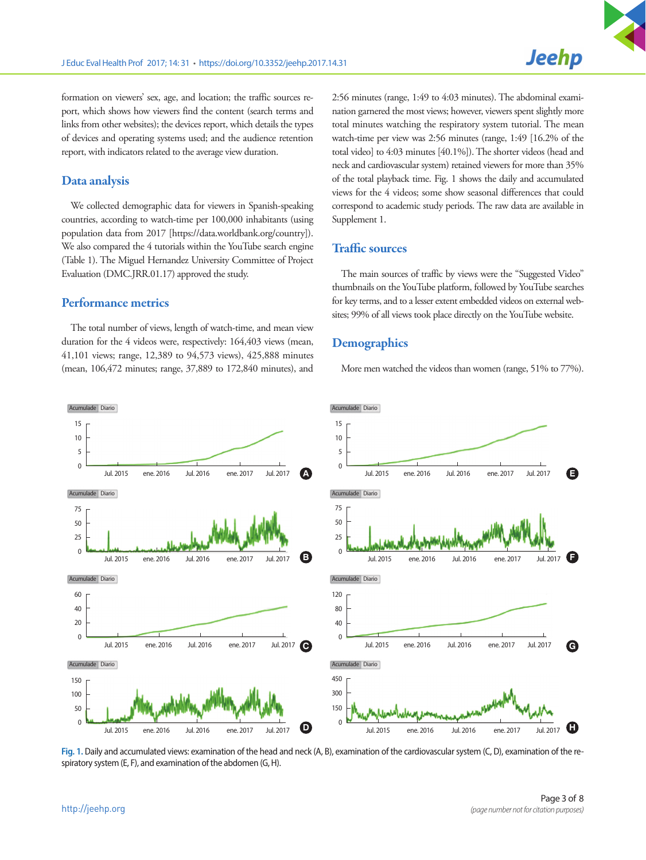formation on viewers' sex, age, and location; the traffic sources report, which shows how viewers find the content (search terms and links from other websites); the devices report, which details the types of devices and operating systems used; and the audience retention report, with indicators related to the average view duration.

### Data analysis

We collected demographic data for viewers in Spanish-speaking countries, according to watch-time per 100,000 inhabitants (using population data from 2017 [https://data.worldbank.org/country]). We also compared the 4 tutorials within the YouTube search engine (Table 1). The Miguel Hernandez University Committee of Project Evaluation (DMC.JRR.01.17) approved the study.

#### Performance metrics

The total number of views, length of watch-time, and mean view duration for the 4 videos were, respectively: 164,403 views (mean, 41,101 views; range, 12,389 to 94,573 views), 425,888 minutes (mean, 106,472 minutes; range, 37,889 to 172,840 minutes), and

2:56 minutes (range, 1:49 to 4:03 minutes). The abdominal examination garnered the most views; however, viewers spent slightly more total minutes watching the respiratory system tutorial. The mean watch-time per view was 2:56 minutes (range, 1:49 [16.2% of the total video] to 4:03 minutes [40.1%]). The shorter videos (head and neck and cardiovascular system) retained viewers for more than 35% of the total playback time. Fig. 1 shows the daily and accumulated views for the 4 videos; some show seasonal differences that could correspond to academic study periods. The raw data are available in Supplement 1.

## Traffic sources

The main sources of traffic by views were the "Suggested Video" thumbnails on the YouTube platform, followed by YouTube searches for key terms, and to a lesser extent embedded videos on external websites; 99% of all views took place directly on the YouTube website.

#### **Demographics**

More men watched the videos than women (range, 51% to 77%).



**Fig. 1.** Daily and accumulated views: examination of the head and neck (A, B), examination of the cardiovascular system (C, D), examination of the respiratory system (E, F), and examination of the abdomen (G, H).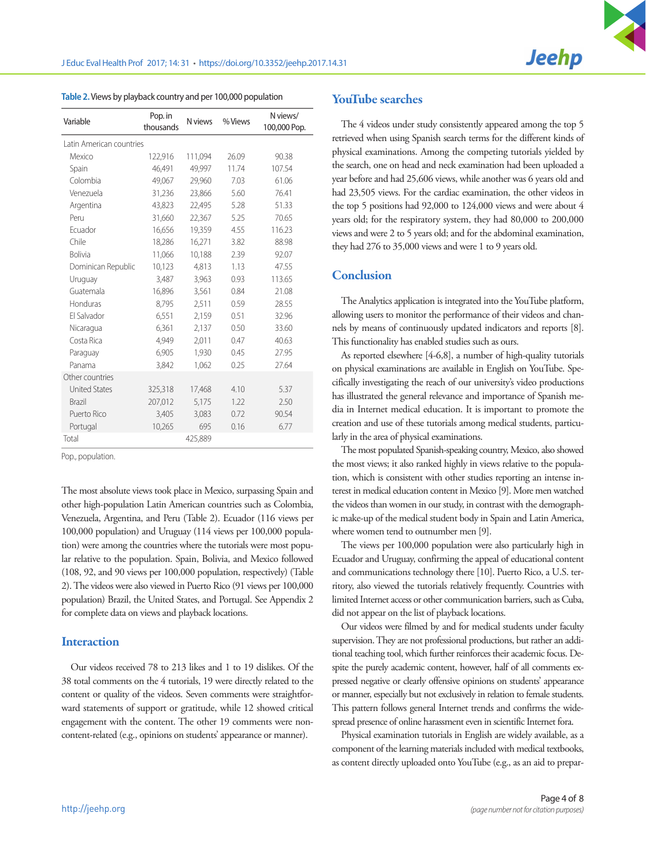| Variable                 | Pop. in<br>thousands | N views | % Views | N views/<br>100,000 Pop. |
|--------------------------|----------------------|---------|---------|--------------------------|
| Latin American countries |                      |         |         |                          |
| Mexico                   | 122,916              | 111,094 | 26.09   | 90.38                    |
| Spain                    | 46.491               | 49.997  | 11.74   | 107.54                   |
| Colombia                 | 49,067               | 29,960  | 7.03    | 61.06                    |
| Venezuela                | 31,236               | 23,866  | 5.60    | 76.41                    |
| Argentina                | 43,823               | 22,495  | 5.28    | 51.33                    |
| Peru                     | 31,660               | 22,367  | 5.25    | 70.65                    |
| Ecuador                  | 16,656               | 19,359  | 4.55    | 116.23                   |
| Chile                    | 18,286               | 16,271  | 3.82    | 88.98                    |
| <b>Bolivia</b>           | 11,066               | 10,188  | 2.39    | 92.07                    |
| Dominican Republic       | 10,123               | 4,813   | 1.13    | 47.55                    |
| Uruguay                  | 3,487                | 3,963   | 0.93    | 113.65                   |
| Guatemala                | 16,896               | 3,561   | 0.84    | 21.08                    |
| Honduras                 | 8,795                | 2,511   | 0.59    | 28.55                    |
| El Salvador              | 6,551                | 2,159   | 0.51    | 32.96                    |
| Nicaragua                | 6,361                | 2,137   | 0.50    | 33.60                    |
| Costa Rica               | 4,949                | 2,011   | 0.47    | 40.63                    |
| Paraguay                 | 6,905                | 1,930   | 0.45    | 27.95                    |
| Panama                   | 3,842                | 1,062   | 0.25    | 27.64                    |
| Other countries          |                      |         |         |                          |
| <b>United States</b>     | 325,318              | 17,468  | 4.10    | 5.37                     |
| <b>Brazil</b>            | 207,012              | 5,175   | 1.22    | 2.50                     |
| Puerto Rico              | 3,405                | 3,083   | 0.72    | 90.54                    |
| Portugal                 | 10,265               | 695     | 0.16    | 6.77                     |
| Total                    |                      | 425,889 |         |                          |

**Table 2.** Views by playback country and per 100,000 population

Pop., population.

The most absolute views took place in Mexico, surpassing Spain and other high-population Latin American countries such as Colombia, Venezuela, Argentina, and Peru (Table 2). Ecuador (116 views per 100,000 population) and Uruguay (114 views per 100,000 population) were among the countries where the tutorials were most popular relative to the population. Spain, Bolivia, and Mexico followed (108, 92, and 90 views per 100,000 population, respectively) (Table 2). The videos were also viewed in Puerto Rico (91 views per 100,000 population) Brazil, the United States, and Portugal. See Appendix 2 for complete data on views and playback locations.

#### **Interaction**

Our videos received 78 to 213 likes and 1 to 19 dislikes. Of the 38 total comments on the 4 tutorials, 19 were directly related to the content or quality of the videos. Seven comments were straightforward statements of support or gratitude, while 12 showed critical engagement with the content. The other 19 comments were noncontent-related (e.g., opinions on students' appearance or manner).

# YouTube searches

The 4 videos under study consistently appeared among the top 5 retrieved when using Spanish search terms for the different kinds of physical examinations. Among the competing tutorials yielded by the search, one on head and neck examination had been uploaded a year before and had 25,606 views, while another was 6 years old and had 23,505 views. For the cardiac examination, the other videos in the top 5 positions had 92,000 to 124,000 views and were about 4 years old; for the respiratory system, they had 80,000 to 200,000 views and were 2 to 5 years old; and for the abdominal examination, they had 276 to 35,000 views and were 1 to 9 years old.

#### **Conclusion**

The Analytics application is integrated into the YouTube platform, allowing users to monitor the performance of their videos and channels by means of continuously updated indicators and reports [8]. This functionality has enabled studies such as ours.

As reported elsewhere [4-6,8], a number of high-quality tutorials on physical examinations are available in English on YouTube. Specifically investigating the reach of our university's video productions has illustrated the general relevance and importance of Spanish media in Internet medical education. It is important to promote the creation and use of these tutorials among medical students, particularly in the area of physical examinations.

The most populated Spanish-speaking country, Mexico, also showed the most views; it also ranked highly in views relative to the population, which is consistent with other studies reporting an intense interest in medical education content in Mexico [9]. More men watched the videos than women in our study, in contrast with the demographic make-up of the medical student body in Spain and Latin America, where women tend to outnumber men [9].

The views per 100,000 population were also particularly high in Ecuador and Uruguay, confirming the appeal of educational content and communications technology there [10]. Puerto Rico, a U.S. territory, also viewed the tutorials relatively frequently. Countries with limited Internet access or other communication barriers, such as Cuba, did not appear on the list of playback locations.

Our videos were filmed by and for medical students under faculty supervision. They are not professional productions, but rather an additional teaching tool, which further reinforces their academic focus. Despite the purely academic content, however, half of all comments expressed negative or clearly offensive opinions on students' appearance or manner, especially but not exclusively in relation to female students. This pattern follows general Internet trends and confirms the widespread presence of online harassment even in scientific Internet fora.

Physical examination tutorials in English are widely available, as a component of the learning materials included with medical textbooks, as content directly uploaded onto YouTube (e.g., as an aid to prepar-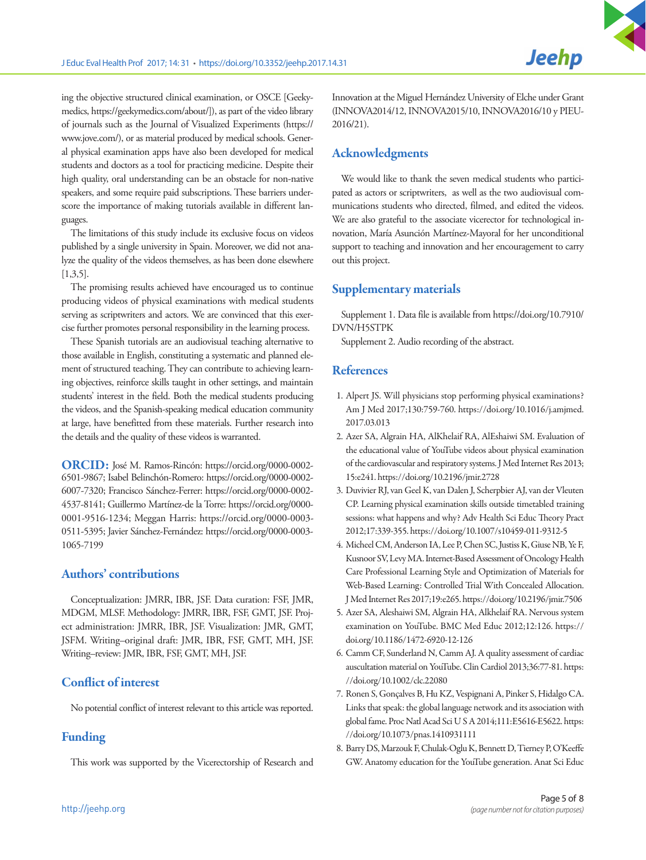We would like to thank the seven medical students who participated as actors or scriptwriters, as well as the two audiovisual communications students who directed, filmed, and edited the videos. We are also grateful to the associate vicerector for technological innovation, María Asunción Martínez-Mayoral for her unconditional support to teaching and innovation and her encouragement to carry out this project.

**Jeehp** 

# Supplementary materials

Supplement 1. Data file is available from [https://doi.org/10.7910/](https://doi.org/10.7910/DVN/H5STPK) [DVN/H5STPK](https://doi.org/10.7910/DVN/H5STPK)

Supplement 2. Audio recording of the abstract.

# References

- 1. Alpert JS. Will physicians stop performing physical examinations? Am J Med 2017;130:759-760. https://doi.org/10.1016/j.amjmed. 2017.03.013
- 2. Azer SA, Algrain HA, AlKhelaif RA, AlEshaiwi SM. Evaluation of the educational value of YouTube videos about physical examination of the cardiovascular and respiratory systems. J Med Internet Res 2013; 15:e241. https://doi.org/10.2196/jmir.2728
- 3. Duvivier RJ, van Geel K, van Dalen J, Scherpbier AJ, van der Vleuten CP. Learning physical examination skills outside timetabled training sessions: what happens and why? Adv Health Sci Educ Theory Pract 2012;17:339-355. https://doi.org/10.1007/s10459-011-9312-5
- 4. Micheel CM, Anderson IA, Lee P, Chen SC, Justiss K, Giuse NB, Ye F, Kusnoor SV, Levy MA. Internet-Based Assessment of Oncology Health Care Professional Learning Style and Optimization of Materials for Web-Based Learning: Controlled Trial With Concealed Allocation. J Med Internet Res 2017;19:e265. https://doi.org/10.2196/jmir.7506
- 5. Azer SA, Aleshaiwi SM, Algrain HA, Alkhelaif RA. Nervous system examination on YouTube. BMC Med Educ 2012;12:126. https:// doi.org/10.1186/1472-6920-12-126
- 6. Camm CF, Sunderland N, Camm AJ. A quality assessment of cardiac auscultation material on YouTube. Clin Cardiol 2013;36:77-81. https: //doi.org/10.1002/clc.22080
- 7. Ronen S, Gonçalves B, Hu KZ, Vespignani A, Pinker S, Hidalgo CA. Links that speak: the global language network and its association with global fame. Proc Natl Acad Sci U S A 2014;111:E5616-E5622. https: //doi.org/10.1073/pnas.1410931111
- 8. Barry DS, Marzouk F, Chulak-Oglu K, Bennett D, Tierney P, O'Keeffe GW. Anatomy education for the YouTube generation. Anat Sci Educ

ing the objective structured clinical examination, or OSCE [Geekymedics, https://geekymedics.com/about/]), as part of the video library of journals such as the Journal of Visualized Experiments (https:// www.jove.com/), or as material produced by medical schools. General physical examination apps have also been developed for medical students and doctors as a tool for practicing medicine. Despite their high quality, oral understanding can be an obstacle for non-native speakers, and some require paid subscriptions. These barriers underscore the importance of making tutorials available in different languages.

The limitations of this study include its exclusive focus on videos published by a single university in Spain. Moreover, we did not analyze the quality of the videos themselves, as has been done elsewhere [1,3,5].

The promising results achieved have encouraged us to continue producing videos of physical examinations with medical students serving as scriptwriters and actors. We are convinced that this exercise further promotes personal responsibility in the learning process.

These Spanish tutorials are an audiovisual teaching alternative to those available in English, constituting a systematic and planned element of structured teaching. They can contribute to achieving learning objectives, reinforce skills taught in other settings, and maintain students' interest in the field. Both the medical students producing the videos, and the Spanish-speaking medical education community at large, have benefitted from these materials. Further research into the details and the quality of these videos is warranted.

ORCID: José M. Ramos-Rincón: https://orcid.org/0000-0002- 6501-9867; Isabel Belinchón-Romero: https://orcid.org/0000-0002- 6007-7320; Francisco Sánchez-Ferrer: https://orcid.org/0000-0002- 4537-8141; Guillermo Martínez-de la Torre: https://orcid.org/0000- 0001-9516-1234; Meggan Harris: https://orcid.org/0000-0003- 0511-5395; Javier Sánchez-Fernández: https://orcid.org/0000-0003- 1065-7199

# Authors' contributions

Conceptualization: JMRR, IBR, JSF. Data curation: FSF, JMR, MDGM, MLSF. Methodology: JMRR, IBR, FSF, GMT, JSF. Project administration: JMRR, IBR, JSF. Visualization: JMR, GMT, JSFM. Writing–original draft: JMR, IBR, FSF, GMT, MH, JSF. Writing–review: JMR, IBR, FSF, GMT, MH, JSF.

# Conflict of interest

No potential conflict of interest relevant to this article was reported.

# Funding

This work was supported by the Vicerectorship of Research and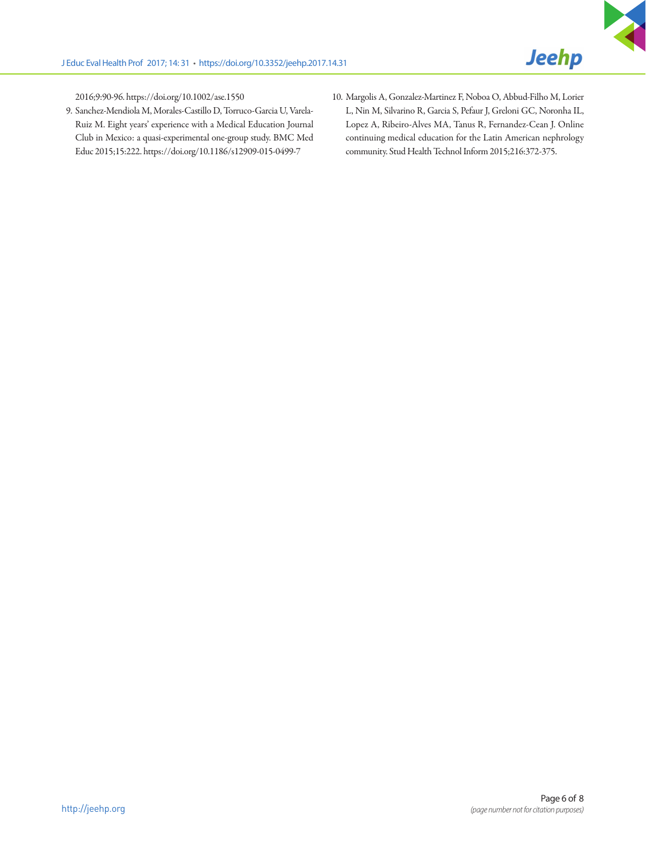2016;9:90-96. https://doi.org/10.1002/ase.1550

- 9. Sanchez-Mendiola M, Morales-Castillo D, Torruco-Garcia U, Varela-Ruiz M. Eight years' experience with a Medical Education Journal Club in Mexico: a quasi-experimental one-group study. BMC Med Educ 2015;15:222. https://doi.org/10.1186/s12909-015-0499-7
- 10. Margolis A, Gonzalez-Martinez F, Noboa O, Abbud-Filho M, Lorier L, Nin M, Silvarino R, Garcia S, Pefaur J, Greloni GC, Noronha IL, Lopez A, Ribeiro-Alves MA, Tanus R, Fernandez-Cean J. Online continuing medical education for the Latin American nephrology community. Stud Health Technol Inform 2015;216:372-375.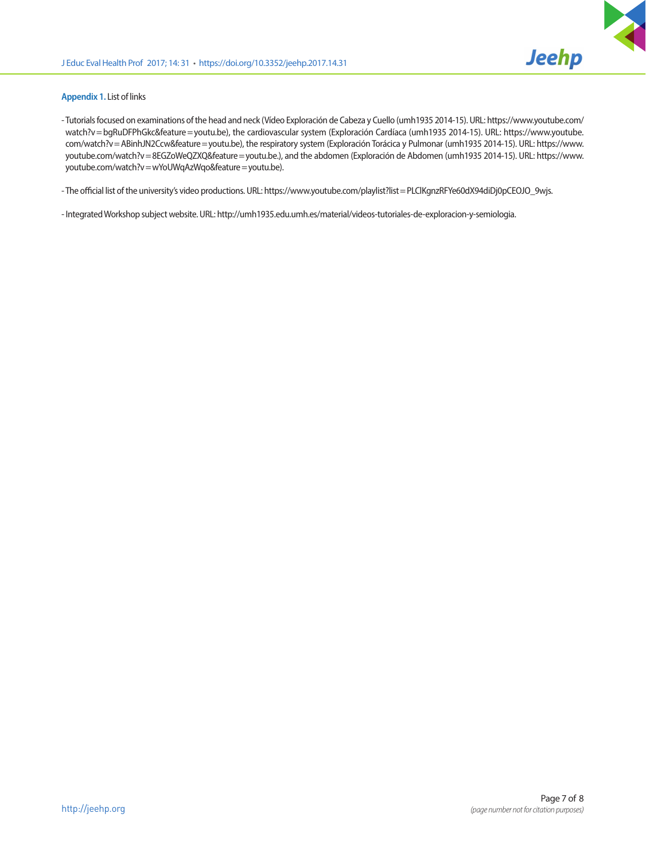

#### **Appendix 1.** List of links

- Tutorials focused on examinations of the head and neck (Vídeo Exploración de Cabeza y Cuello (umh1935 2014-15). URL: https://www.youtube.com/ watch?v = bgRuDFPhGkc&feature = youtu.be), the cardiovascular system (Exploración Cardíaca (umh1935 2014-15). URL: https://www.youtube. com/watch?v = ABinhJN2Ccw&feature = youtu.be), the respiratory system (Exploración Torácica y Pulmonar (umh1935 2014-15). URL: https://www. youtube.com/watch?v = 8EGZoWeQZXQ&feature = youtu.be.), and the abdomen (Exploración de Abdomen (umh1935 2014-15). URL: https://www. youtube.com/watch?v = wYoUWqAzWqo&feature = youtu.be).

- The official list of the university's video productions. URL: https://www.youtube.com/playlist?list = PLClKgnzRFYe60dX94diDj0pCEOJO\_9wjs.

- Integrated Workshop subject website. URL: http://umh1935.edu.umh.es/material/videos-tutoriales-de-exploracion-y-semiologia.